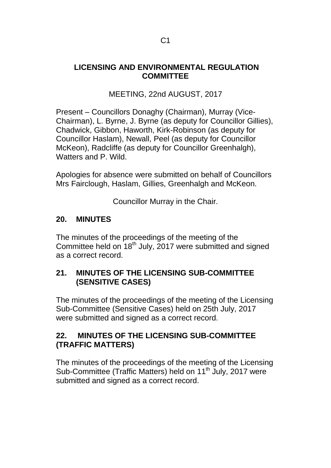### **LICENSING AND ENVIRONMENTAL REGULATION COMMITTEE**

## MEETING, 22nd AUGUST, 2017

Present – Councillors Donaghy (Chairman), Murray (Vice-Chairman), L. Byrne, J. Byrne (as deputy for Councillor Gillies), Chadwick, Gibbon, Haworth, Kirk-Robinson (as deputy for Councillor Haslam), Newall, Peel (as deputy for Councillor McKeon), Radcliffe (as deputy for Councillor Greenhalgh), Watters and P. Wild.

Apologies for absence were submitted on behalf of Councillors Mrs Fairclough, Haslam, Gillies, Greenhalgh and McKeon.

Councillor Murray in the Chair.

### **20. MINUTES**

The minutes of the proceedings of the meeting of the Committee held on 18<sup>th</sup> July, 2017 were submitted and signed as a correct record.

### **21. MINUTES OF THE LICENSING SUB-COMMITTEE (SENSITIVE CASES)**

The minutes of the proceedings of the meeting of the Licensing Sub-Committee (Sensitive Cases) held on 25th July, 2017 were submitted and signed as a correct record.

### **22. MINUTES OF THE LICENSING SUB-COMMITTEE (TRAFFIC MATTERS)**

The minutes of the proceedings of the meeting of the Licensing Sub-Committee (Traffic Matters) held on 11<sup>th</sup> July, 2017 were submitted and signed as a correct record.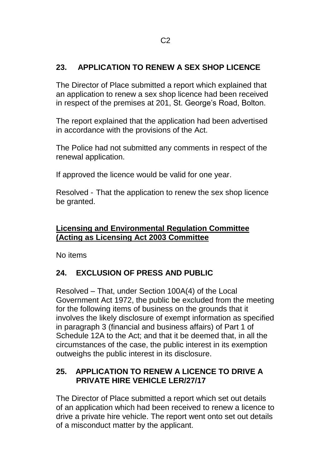# **23. APPLICATION TO RENEW A SEX SHOP LICENCE**

The Director of Place submitted a report which explained that an application to renew a sex shop licence had been received in respect of the premises at 201, St. George's Road, Bolton.

The report explained that the application had been advertised in accordance with the provisions of the Act.

The Police had not submitted any comments in respect of the renewal application.

If approved the licence would be valid for one year.

Resolved - That the application to renew the sex shop licence be granted.

### **Licensing and Environmental Regulation Committee (Acting as Licensing Act 2003 Committee**

No items

## **24. EXCLUSION OF PRESS AND PUBLIC**

Resolved – That, under Section 100A(4) of the Local Government Act 1972, the public be excluded from the meeting for the following items of business on the grounds that it involves the likely disclosure of exempt information as specified in paragraph 3 (financial and business affairs) of Part 1 of Schedule 12A to the Act; and that it be deemed that, in all the circumstances of the case, the public interest in its exemption outweighs the public interest in its disclosure.

### **25. APPLICATION TO RENEW A LICENCE TO DRIVE A PRIVATE HIRE VEHICLE LER/27/17**

The Director of Place submitted a report which set out details of an application which had been received to renew a licence to drive a private hire vehicle. The report went onto set out details of a misconduct matter by the applicant.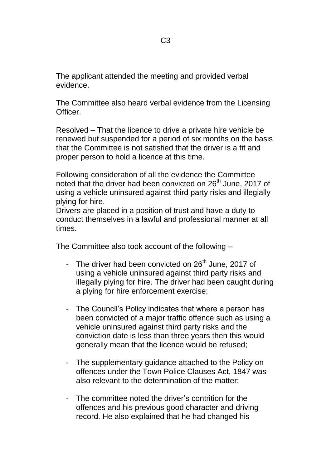The applicant attended the meeting and provided verbal evidence.

The Committee also heard verbal evidence from the Licensing **Officer** 

Resolved – That the licence to drive a private hire vehicle be renewed but suspended for a period of six months on the basis that the Committee is not satisfied that the driver is a fit and proper person to hold a licence at this time.

Following consideration of all the evidence the Committee noted that the driver had been convicted on 26<sup>th</sup> June, 2017 of using a vehicle uninsured against third party risks and illegially plying for hire.

Drivers are placed in a position of trust and have a duty to conduct themselves in a lawful and professional manner at all times.

The Committee also took account of the following –

- The driver had been convicted on  $26<sup>th</sup>$  June, 2017 of using a vehicle uninsured against third party risks and illegally plying for hire. The driver had been caught during a plying for hire enforcement exercise;
- The Council's Policy indicates that where a person has been convicted of a major traffic offence such as using a vehicle uninsured against third party risks and the conviction date is less than three years then this would generally mean that the licence would be refused;
- The supplementary guidance attached to the Policy on offences under the Town Police Clauses Act, 1847 was also relevant to the determination of the matter;
- The committee noted the driver's contrition for the offences and his previous good character and driving record. He also explained that he had changed his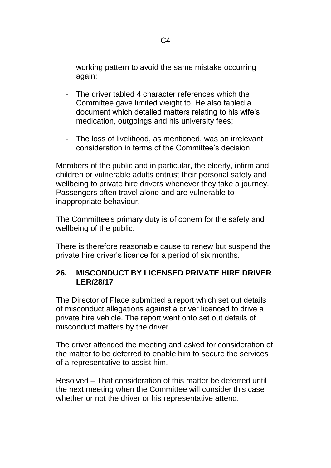working pattern to avoid the same mistake occurring again;

- The driver tabled 4 character references which the Committee gave limited weight to. He also tabled a document which detailed matters relating to his wife's medication, outgoings and his university fees;
- The loss of livelihood, as mentioned, was an irrelevant consideration in terms of the Committee's decision.

Members of the public and in particular, the elderly, infirm and children or vulnerable adults entrust their personal safety and wellbeing to private hire drivers whenever they take a journey. Passengers often travel alone and are vulnerable to inappropriate behaviour.

The Committee's primary duty is of conern for the safety and wellbeing of the public.

There is therefore reasonable cause to renew but suspend the private hire driver's licence for a period of six months.

### **26. MISCONDUCT BY LICENSED PRIVATE HIRE DRIVER LER/28/17**

The Director of Place submitted a report which set out details of misconduct allegations against a driver licenced to drive a private hire vehicle. The report went onto set out details of misconduct matters by the driver.

The driver attended the meeting and asked for consideration of the matter to be deferred to enable him to secure the services of a representative to assist him.

Resolved – That consideration of this matter be deferred until the next meeting when the Committee will consider this case whether or not the driver or his representative attend.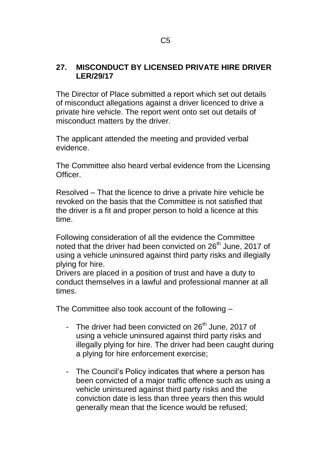### **27. MISCONDUCT BY LICENSED PRIVATE HIRE DRIVER LER/29/17**

The Director of Place submitted a report which set out details of misconduct allegations against a driver licenced to drive a private hire vehicle. The report went onto set out details of misconduct matters by the driver.

The applicant attended the meeting and provided verbal evidence.

The Committee also heard verbal evidence from the Licensing **Officer** 

Resolved – That the licence to drive a private hire vehicle be revoked on the basis that the Committee is not satisfied that the driver is a fit and proper person to hold a licence at this time.

Following consideration of all the evidence the Committee noted that the driver had been convicted on 26<sup>th</sup> June, 2017 of using a vehicle uninsured against third party risks and illegially plying for hire.

Drivers are placed in a position of trust and have a duty to conduct themselves in a lawful and professional manner at all times.

The Committee also took account of the following –

- The driver had been convicted on  $26<sup>th</sup>$  June, 2017 of using a vehicle uninsured against third party risks and illegally plying for hire. The driver had been caught during a plying for hire enforcement exercise;
- The Council's Policy indicates that where a person has been convicted of a major traffic offence such as using a vehicle uninsured against third party risks and the conviction date is less than three years then this would generally mean that the licence would be refused;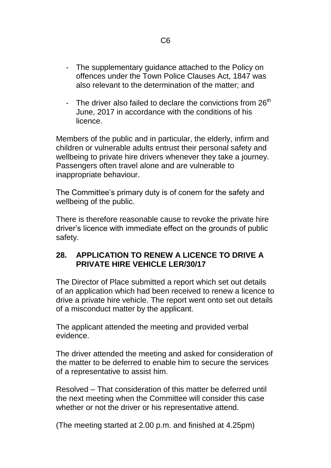- The supplementary guidance attached to the Policy on offences under the Town Police Clauses Act, 1847 was also relevant to the determination of the matter; and
- The driver also failed to declare the convictions from  $26<sup>th</sup>$ June, 2017 in accordance with the conditions of his licence.

Members of the public and in particular, the elderly, infirm and children or vulnerable adults entrust their personal safety and wellbeing to private hire drivers whenever they take a journey. Passengers often travel alone and are vulnerable to inappropriate behaviour.

The Committee's primary duty is of conern for the safety and wellbeing of the public.

There is therefore reasonable cause to revoke the private hire driver's licence with immediate effect on the grounds of public safety.

#### **28. APPLICATION TO RENEW A LICENCE TO DRIVE A PRIVATE HIRE VEHICLE LER/30/17**

The Director of Place submitted a report which set out details of an application which had been received to renew a licence to drive a private hire vehicle. The report went onto set out details of a misconduct matter by the applicant.

The applicant attended the meeting and provided verbal evidence.

The driver attended the meeting and asked for consideration of the matter to be deferred to enable him to secure the services of a representative to assist him.

Resolved – That consideration of this matter be deferred until the next meeting when the Committee will consider this case whether or not the driver or his representative attend.

(The meeting started at 2.00 p.m. and finished at 4.25pm)